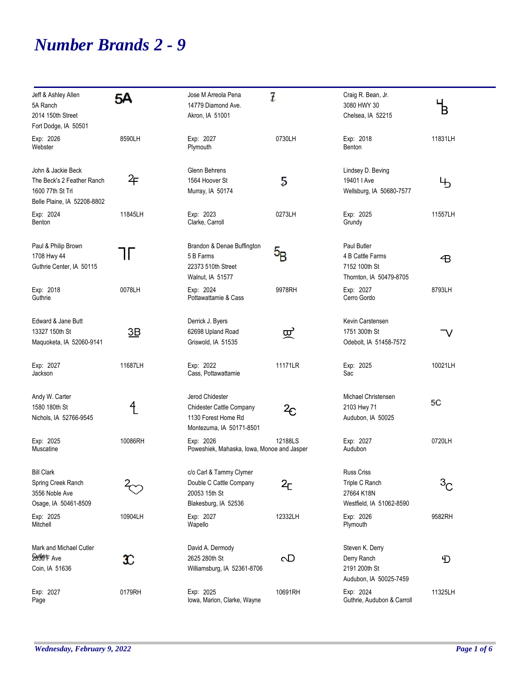## *Number Brands 2 - 9*

| Jeff & Ashley Allen<br>5A Ranch<br>2014 150th Street                          | 5А      | Jose M Arreola Pena<br>14779 Diamond Ave.<br>Akron, IA 51001                      | 7                | Craig R. Bean, Jr.<br>3080 HWY 30<br>Chelsea, IA 52215                      | $\mathsf{B}$ |
|-------------------------------------------------------------------------------|---------|-----------------------------------------------------------------------------------|------------------|-----------------------------------------------------------------------------|--------------|
| Fort Dodge, IA 50501                                                          |         |                                                                                   |                  |                                                                             |              |
| Exp: 2026<br>Webster                                                          | 8590LH  | Exp: 2027<br>Plymouth                                                             | 0730LH           | Exp: 2018<br>Benton                                                         | 11831LH      |
| John & Jackie Beck                                                            |         | Glenn Behrens                                                                     |                  | Lindsey D. Beving                                                           |              |
| The Beck's 2 Feather Ranch<br>1600 77th St Trl<br>Belle Plaine, IA 52208-8802 | 午       | 1564 Hoover St<br>Murray, IA 50174                                                | 5                | 19401   Ave<br>Wellsburg, IA 50680-7577                                     | Ҹ            |
| Exp: 2024<br>Benton                                                           | 11845LH | Exp: 2023<br>Clarke, Carroll                                                      | 0273LH           | Exp: 2025<br>Grundy                                                         | 11557LH      |
| Paul & Philip Brown<br>1708 Hwy 44<br>Guthrie Center, IA 50115                | TГ      | Brandon & Denae Buffington<br>5 B Farms<br>22373 510th Street<br>Walnut, IA 51577 | $5\mathrm{_{B}}$ | Paul Butler<br>4 B Cattle Farms<br>7152 100th St<br>Thornton, IA 50479-8705 | 子            |
| Exp: 2018<br>Guthrie                                                          | 0078LH  | Exp: 2024<br>Pottawattamie & Cass                                                 | 9978RH           | Exp: 2027<br>Cerro Gordo                                                    | 8793LH       |
| Edward & Jane Butt                                                            |         | Derrick J. Byers                                                                  |                  | Kevin Carstensen                                                            |              |
| 13327 150th St<br>Maquoketa, IA 52060-9141                                    | 3B      | 62698 Upland Road<br>Griswold, IA 51535                                           | 叉                | 1751 300th St<br>Odebolt, IA 51458-7572                                     | V            |
| Exp: 2027<br>Jackson                                                          | 11687LH | Exp: 2022<br>Cass, Pottawattamie                                                  | 11171LR          | Exp: 2025<br>Sac                                                            | 10021LH      |
| Andy W. Carter                                                                |         | Jerod Chidester                                                                   |                  | Michael Christensen                                                         | 5C           |
| 1580 180th St<br>Nichols, IA 52766-9545                                       | 4       | Chidester Cattle Company<br>1130 Forest Home Rd<br>Montezuma, IA 50171-8501       | $^2\!\mathsf{c}$ | 2103 Hwy 71<br>Audubon, IA 50025                                            |              |
| Exp: 2025<br>Muscatine                                                        | 10086RH | Exp: 2026<br>Poweshiek, Mahaska, Iowa, Monoe and Jasper                           | 12188LS          | Exp: 2027<br>Audubon                                                        | 0720LH       |
| <b>Bill Clark</b>                                                             |         | c/o Carl & Tammy Clymer                                                           |                  | Russ Criss                                                                  |              |
| Spring Creek Ranch<br>3556 Noble Ave                                          |         | Double C Cattle Company<br>20053 15th St                                          | 2 <sub>C</sub>   | Triple C Ranch<br>27664 K18N                                                | $^3C$        |
| Osage, IA 50461-8509                                                          |         | Blakesburg, IA 52536                                                              |                  | Westfield, IA 51062-8590                                                    |              |
| Exp: 2025<br>Mitchell                                                         | 10904LH | Exp: 2027<br>Wapello                                                              | 12332LH          | Exp: 2026<br>Plymouth                                                       | 9582RH       |
| Mark and Michael Cutler                                                       |         | David A. Dermody                                                                  |                  | Steven K. Derry                                                             |              |
| Serge F Ave<br>Coin, IA 51636                                                 | x       | 2625 280th St<br>Williamsburg, IA 52361-8706                                      | $\sigma$         | Derry Ranch<br>2191 200th St<br>Audubon, IA 50025-7459                      | Đ            |
| Exp: 2027<br>Page                                                             | 0179RH  | Exp: 2025<br>Iowa, Marion, Clarke, Wayne                                          | 10691RH          | Exp: 2024<br>Guthrie, Audubon & Carroll                                     | 11325LH      |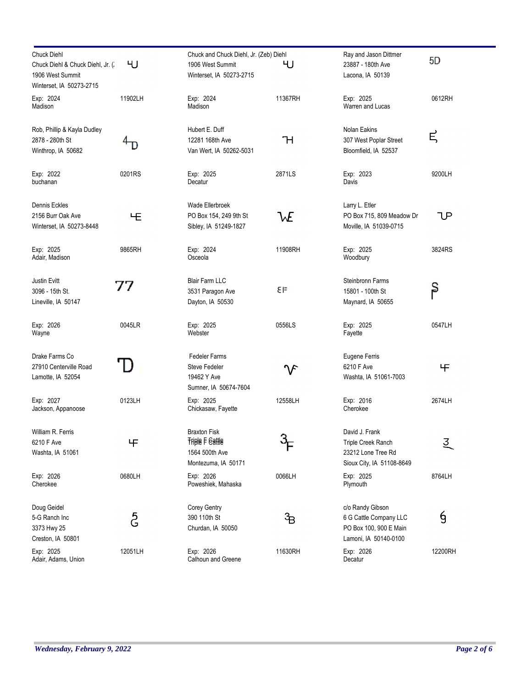| <b>Chuck Diehl</b><br>Chuck Diehl & Chuck Diehl, Jr. (<br>1906 West Summit | ЧJ      | Chuck and Chuck Diehl, Jr. (Zeb) Diehl<br>1906 West Summit<br>Winterset, IA 50273-2715 | ЧJ       | Ray and Jason Dittmer<br>23887 - 180th Ave<br>Lacona, IA 50139                                | 5D      |
|----------------------------------------------------------------------------|---------|----------------------------------------------------------------------------------------|----------|-----------------------------------------------------------------------------------------------|---------|
| Winterset, IA 50273-2715<br>Exp: 2024<br>Madison                           | 11902LH | Exp: 2024<br>Madison                                                                   | 11367RH  | Exp: 2025<br>Warren and Lucas                                                                 | 0612RH  |
| Rob, Phillip & Kayla Dudley<br>2878 - 280th St<br>Winthrop, IA 50682       |         | Hubert E. Duff<br>12281 168th Ave<br>Van Wert, IA 50262-5031                           | Ή        | Nolan Eakins<br>307 West Poplar Street<br>Bloomfield, IA 52537                                | Ε       |
| Exp: 2022<br>buchanan                                                      | 0201RS  | Exp: 2025<br>Decatur                                                                   | 2871LS   | Exp: 2023<br>Davis                                                                            | 9200LH  |
| Dennis Eckles<br>2156 Burr Oak Ave<br>Winterset, IA 50273-8448             | ΨЕ      | Wade Ellerbroek<br>PO Box 154, 249 9th St<br>Sibley, IA 51249-1827                     | WE       | Larry L. Etler<br>PO Box 715, 809 Meadow Dr<br>Moville, IA 51039-0715                         | lΡ      |
| Exp: 2025<br>Adair, Madison                                                | 9865RH  | Exp: 2024<br>Osceola                                                                   | 11908RH  | Exp: 2025<br>Woodbury                                                                         | 3824RS  |
| Justin Evitt<br>3096 - 15th St.<br>Lineville, IA 50147                     | 77      | <b>Blair Farm LLC</b><br>3531 Paragon Ave<br>Dayton, IA 50530                          | ٤Ε       | Steinbronn Farms<br>15801 - 100th St<br>Maynard, IA 50655                                     | β       |
| Exp: 2026<br>Wayne                                                         | 0045LR  | Exp: 2025<br>Webster                                                                   | 0556LS   | Exp: 2025<br>Fayette                                                                          | 0547LH  |
| Drake Farms Co<br>27910 Centerville Road<br>Lamotte, IA 52054              |         | <b>Fedeler Farms</b><br><b>Steve Fedeler</b><br>19462 Y Ave<br>Sumner, IA 50674-7604   | $\gamma$ | Eugene Ferris<br>6210 F Ave<br>Washta, IA 51061-7003                                          | 王       |
| Exp: 2027<br>Jackson, Appanoose                                            | 0123LH  | Exp: 2025<br>Chickasaw, Fayette                                                        | 12558LH  | Exp: 2016<br>Cherokee                                                                         | 2674LH  |
| William R. Ferris<br>6210 F Ave<br>Washta, IA 51061                        | 王       | <b>Braxton Fisk</b><br><b>Triple F Gattle</b><br>1564 500th Ave<br>Montezuma, IA 50171 |          | David J. Frank<br>Triple Creek Ranch<br>23212 Lone Tree Rd<br>Sioux City, IA 51108-8649       | 킻       |
| Exp: 2026<br>Cherokee                                                      | 0680LH  | Exp: 2026<br>Poweshiek, Mahaska                                                        | 0066LH   | Exp: 2025<br>Plymouth                                                                         | 8764LH  |
| Doug Geidel<br>5-G Ranch Inc<br>3373 Hwy 25<br>Creston, IA 50801           | දි      | Corey Gentry<br>390 110th St<br>Churdan, IA 50050                                      | ဲ႕ေ      | c/o Randy Gibson<br>6 G Cattle Company LLC<br>PO Box 100, 900 E Main<br>Lamoni, IA 50140-0100 | 9       |
| Exp: 2025<br>Adair, Adams, Union                                           | 12051LH | Exp: 2026<br>Calhoun and Greene                                                        | 11630RH  | Exp: 2026<br>Decatur                                                                          | 12200RH |

÷.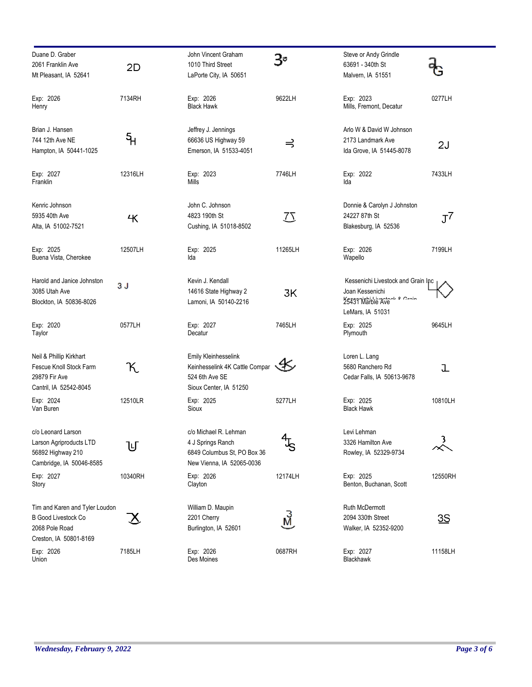| Duane D. Graber<br>2061 Franklin Ave<br>Mt Pleasant, IA 52641                                            | 2D      | John Vincent Graham<br>1010 Third Street<br>LaPorte City, IA 50651                                     | 3۰                       | Steve or Andy Grindle<br>63691 - 340th St<br>Malvern, IA 51551                                                     |         |
|----------------------------------------------------------------------------------------------------------|---------|--------------------------------------------------------------------------------------------------------|--------------------------|--------------------------------------------------------------------------------------------------------------------|---------|
| Exp: 2026<br>Henry                                                                                       | 7134RH  | Exp: 2026<br><b>Black Hawk</b>                                                                         | 9622LH                   | Exp: 2023<br>Mills, Fremont, Decatur                                                                               | 0277LH  |
| Brian J. Hansen<br>744 12th Ave NE<br>Hampton, IA 50441-1025                                             | န္      | Jeffrey J. Jennings<br>66636 US Highway 59<br>Emerson, IA 51533-4051                                   | $\Rightarrow$            | Arlo W & David W Johnson<br>2173 Landmark Ave<br>Ida Grove, IA 51445-8078                                          | 2J      |
| Exp: 2027<br>Franklin                                                                                    | 12316LH | Exp: 2023<br>Mills                                                                                     | 7746LH                   | Exp: 2022<br>Ida                                                                                                   | 7433LH  |
| Kenric Johnson<br>5935 40th Ave<br>Alta, IA 51002-7521                                                   | Ҷ       | John C. Johnson<br>4823 190th St<br>Cushing, IA 51018-8502                                             | $\overline{\mathcal{L}}$ | Donnie & Carolyn J Johnston<br>24227 87th St<br>Blakesburg, IA 52536                                               | $J^7$   |
| Exp: 2025<br>Buena Vista, Cherokee                                                                       | 12507LH | Exp: 2025<br>Ida                                                                                       | 11265LH                  | Exp: 2026<br>Wapello                                                                                               | 7199LH  |
| Harold and Janice Johnston<br>3085 Utah Ave<br>Blockton, IA 50836-8026                                   | 3 J     | Kevin J. Kendall<br>14616 State Highway 2<br>Lamoni, IA 50140-2216                                     | 3K                       | Kessenichi Livestock and Grain Inc<br>Joan Kessenichi<br>25431 Marble Ave <sup>n o Croin</sup><br>LeMars, IA 51031 |         |
| Exp: 2020<br>Taylor                                                                                      | 0577LH  | Exp: 2027<br>Decatur                                                                                   | 7465LH                   | Exp: 2025<br>Plymouth                                                                                              | 9645LH  |
| Neil & Phillip Kirkhart<br>Fescue Knoll Stock Farm<br>29879 Fir Ave<br>Cantril, IA 52542-8045            | K       | Emily Kleinhesselink<br>Keinhesselink 4K Cattle Compar<br>524 6th Ave SE<br>Sioux Center, IA 51250     | ≪≲                       | Loren L. Lang<br>5680 Ranchero Rd<br>Cedar Falls, IA 50613-9678                                                    | ı       |
| Exp: 2024<br>Van Buren                                                                                   | 12510LR | Exp: 2025<br>Sioux                                                                                     | 5277LH                   | Exp: 2025<br><b>Black Hawk</b>                                                                                     | 10810LH |
| c/o Leonard Larson<br>Larson Agriproducts LTD<br>56892 Highway 210<br>Cambridge, IA 50046-8585           | Ⴎ       | c/o Michael R. Lehman<br>4 J Springs Ranch<br>6849 Columbus St, PO Box 36<br>New Vienna, IA 52065-0036 | $4\frac{1}{5}$           | Levi Lehman<br>3326 Hamilton Ave<br>Rowley, IA 52329-9734                                                          | 3.      |
| Exp: 2027<br>Story                                                                                       | 10340RH | Exp: 2026<br>Clayton                                                                                   | 12174LH                  | Exp: 2025<br>Benton, Buchanan, Scott                                                                               | 12550RH |
| Tim and Karen and Tyler Loudon<br><b>B Good Livestock Co</b><br>2068 Pole Road<br>Creston, IA 50801-8169 | 스       | William D. Maupin<br>2201 Cherry<br>Burlington, IA 52601                                               | Ń,                       | Ruth McDermott<br>2094 330th Street<br>Walker, IA 52352-9200                                                       | 3S      |
| Exp: 2026<br>Union                                                                                       | 7185LH  | Exp: 2026<br>Des Moines                                                                                | 0687RH                   | Exp: 2027<br>Blackhawk                                                                                             | 11158LH |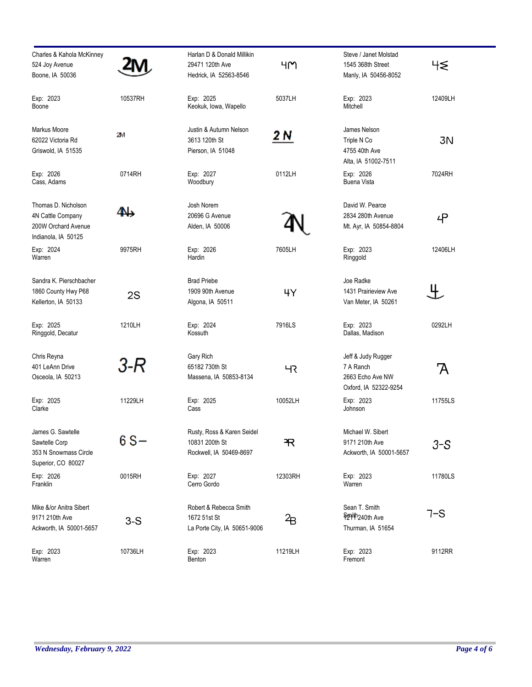| Charles & Kahola McKinney<br>524 Joy Avenue<br>Boone, IA 50036                         |         | Harlan D & Donald Millikin<br>29471 120th Ave<br>Hedrick, IA 52563-8546 | ዛϺ      | Steve / Janet Molstad<br>1545 368th Street<br>Manly, IA 50456-8052           | 45      |
|----------------------------------------------------------------------------------------|---------|-------------------------------------------------------------------------|---------|------------------------------------------------------------------------------|---------|
| Exp: 2023<br>Boone                                                                     | 10537RH | Exp: 2025<br>Keokuk, Iowa, Wapello                                      | 5037LH  | Exp: 2023<br>Mitchell                                                        | 12409LH |
| Markus Moore<br>62022 Victoria Rd<br>Griswold, IA 51535                                | 2V      | Justin & Autumn Nelson<br>3613 120th St<br>Pierson, IA 51048            | 2 N     | James Nelson<br>Triple N Co<br>4755 40th Ave<br>Alta, IA 51002-7511          | 3N      |
| Exp: 2026<br>Cass, Adams                                                               | 0714RH  | Exp: 2027<br>Woodbury                                                   | 0112LH  | Exp: 2026<br>Buena Vista                                                     | 7024RH  |
| Thomas D. Nicholson<br>4N Cattle Company<br>200W Orchard Avenue<br>Indianola, IA 50125 | 4N)     | Josh Norem<br>20696 G Avenue<br>Alden, IA 50006                         |         | David W. Pearce<br>2834 280th Avenue<br>Mt. Ayr, IA 50854-8804               | 4       |
| Exp: 2024<br>Warren                                                                    | 9975RH  | Exp: 2026<br>Hardin                                                     | 7605LH  | Exp: 2023<br>Ringgold                                                        | 12406LH |
| Sandra K. Pierschbacher<br>1860 County Hwy P68<br>Kellerton, IA 50133                  | 2S      | <b>Brad Priebe</b><br>1909 90th Avenue<br>Algona, IA 50511              | ЧY      | Joe Radke<br>1431 Prairieview Ave<br>Van Meter, IA 50261                     | 生       |
| Exp: 2025<br>Ringgold, Decatur                                                         | 1210LH  | Exp: 2024<br>Kossuth                                                    | 7916LS  | Exp: 2023<br>Dallas, Madison                                                 | 0292LH  |
| Chris Reyna<br>401 LeAnn Drive<br>Osceola, IA 50213                                    | 3-R     | Gary Rich<br>65182 730th St<br>Massena, IA 50853-8134                   | ЧК      | Jeff & Judy Rugger<br>7 A Ranch<br>2663 Echo Ave NW<br>Oxford, IA 52322-9254 | A       |
| Exp: 2025<br>Clarke                                                                    | 11229LH | Exp: 2025<br>Cass                                                       | 10052LH | Exp: 2023<br>Johnson                                                         | 11755LS |
| James G. Sawtelle<br>Sawtelle Corp<br>353 N Snowmass Circle<br>Superior, CO 80027      | 6 S-    | Rusty, Ross & Karen Seidel<br>10831 200th St<br>Rockwell, IA 50469-8697 | R       | Michael W. Sibert<br>9171 210th Ave<br>Ackworth, IA 50001-5657               | $3-S$   |
| Exp: 2026<br>Franklin                                                                  | 0015RH  | Exp: 2027<br>Cerro Gordo                                                | 12303RH | Exp: 2023<br>Warren                                                          | 11780LS |
| Mike &/or Anitra Sibert<br>9171 210th Ave<br>Ackworth, IA 50001-5657                   | $3-S$   | Robert & Rebecca Smith<br>1672 51st St<br>La Porte City, IA 50651-9006  | 2 B     | Sean T. Smith<br>S291th <sub>240th Ave</sub><br>Thurman, IA 51654            | 7-S     |
| Exp: 2023<br>Warren                                                                    | 10736LH | Exp: 2023<br>Benton                                                     | 11219LH | Exp: 2023<br>Fremont                                                         | 9112RR  |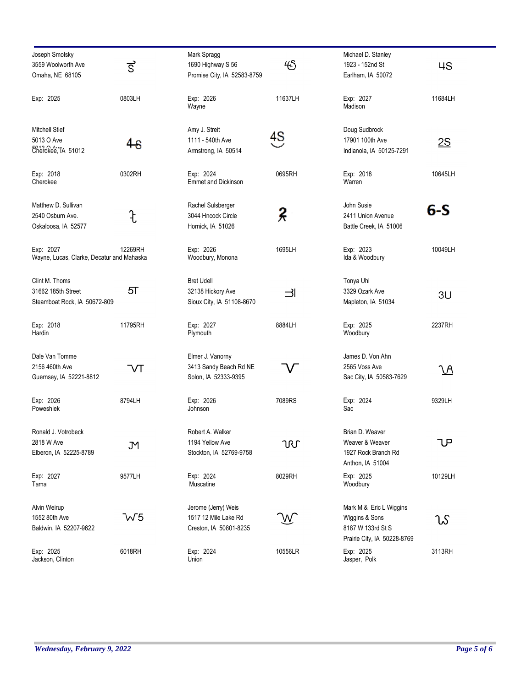| Joseph Smolsky<br>3559 Woolworth Ave<br>Omaha, NE 68105              | ड             | Mark Spragg<br>1690 Highway S 56<br>Promise City, IA 52583-8759       | 45      | Michael D. Stanley<br>1923 - 152nd St<br>Earlham, IA 50072                                    | 4S      |
|----------------------------------------------------------------------|---------------|-----------------------------------------------------------------------|---------|-----------------------------------------------------------------------------------------------|---------|
| Exp: 2025                                                            | 0803LH        | Exp: 2026<br>Wayne                                                    | 11637LH | Exp: 2027<br>Madison                                                                          | 11684LH |
| Mitchell Stief<br>5013 O Ave<br>Cherokee, TA 51012                   | 48            | Amy J. Streit<br>1111 - 540th Ave<br>Armstrong, IA 50514              | 4S      | Doug Sudbrock<br>17901 100th Ave<br>Indianola, IA 50125-7291                                  | 2S      |
| Exp: 2018<br>Cherokee                                                | 0302RH        | Exp: 2024<br><b>Emmet and Dickinson</b>                               | 0695RH  | Exp: 2018<br>Warren                                                                           | 10645LH |
| Matthew D. Sullivan<br>2540 Osburn Ave.<br>Oskaloosa, IA 52577       | $\ddot{\tau}$ | Rachel Sulsberger<br>3044 Hncock Circle<br>Hornick, IA 51026          | 2       | John Susie<br>2411 Union Avenue<br>Battle Creek, IA 51006                                     | 6-S     |
| Exp: 2027<br>Wayne, Lucas, Clarke, Decatur and Mahaska               | 12269RH       | Exp: 2026<br>Woodbury, Monona                                         | 1695LH  | Exp: 2023<br>Ida & Woodbury                                                                   | 10049LH |
| Clint M. Thoms<br>31662 185th Street<br>Steamboat Rock, IA 50672-809 | 5ा            | <b>Bret Udell</b><br>32138 Hickory Ave<br>Sioux City, IA 51108-8670   | ᅴ       | Tonya Uhl<br>3329 Ozark Ave<br>Mapleton, IA 51034                                             | 3U      |
| Exp: 2018<br>Hardin                                                  | 11795RH       | Exp: 2027<br>Plymouth                                                 | 8884LH  | Exp: 2025<br>Woodbury                                                                         | 2237RH  |
| Dale Van Tomme<br>2156 460th Ave<br>Guernsey, IA 52221-8812          | $\sqrt{}$     | Elmer J. Vanorny<br>3413 Sandy Beach Rd NE<br>Solon, IA 52333-9395    |         | James D. Von Ahn<br>2565 Voss Ave<br>Sac City, IA 50583-7629                                  | VΑ      |
| Exp: 2026<br>Poweshiek                                               | 8794LH        | Exp: 2026<br>Johnson                                                  | 7089RS  | Exp: 2024<br>Sac                                                                              | 9329LH  |
| Ronald J. Votrobeck<br>2818 W Ave<br>Elberon, IA 52225-8789          | JМ            | Robert A. Walker<br>1194 Yellow Ave<br>Stockton, IA 52769-9758        | URL     | Brian D. Weaver<br>Weaver & Weaver<br>1927 Rock Branch Rd<br>Anthon, IA 51004                 | lΡ      |
| Exp: 2027<br>Tama                                                    | 9577LH        | Exp: 2024<br>Muscatine                                                | 8029RH  | Exp: 2025<br>Woodbury                                                                         | 10129LH |
| Alvin Weirup<br>1552 80th Ave<br>Baldwin, IA 52207-9622              | W5            | Jerome (Jerry) Weis<br>1517 12 Mile Lake Rd<br>Creston, IA 50801-8235 |         | Mark M & Eric L Wiggins<br>Wiggins & Sons<br>8187 W 133rd St S<br>Prairie City, IA 50228-8769 | ນໂ      |
| Exp: 2025<br>Jackson, Clinton                                        | 6018RH        | Exp: 2024<br>Union                                                    | 10556LR | Exp: 2025<br>Jasper, Polk                                                                     | 3113RH  |

-